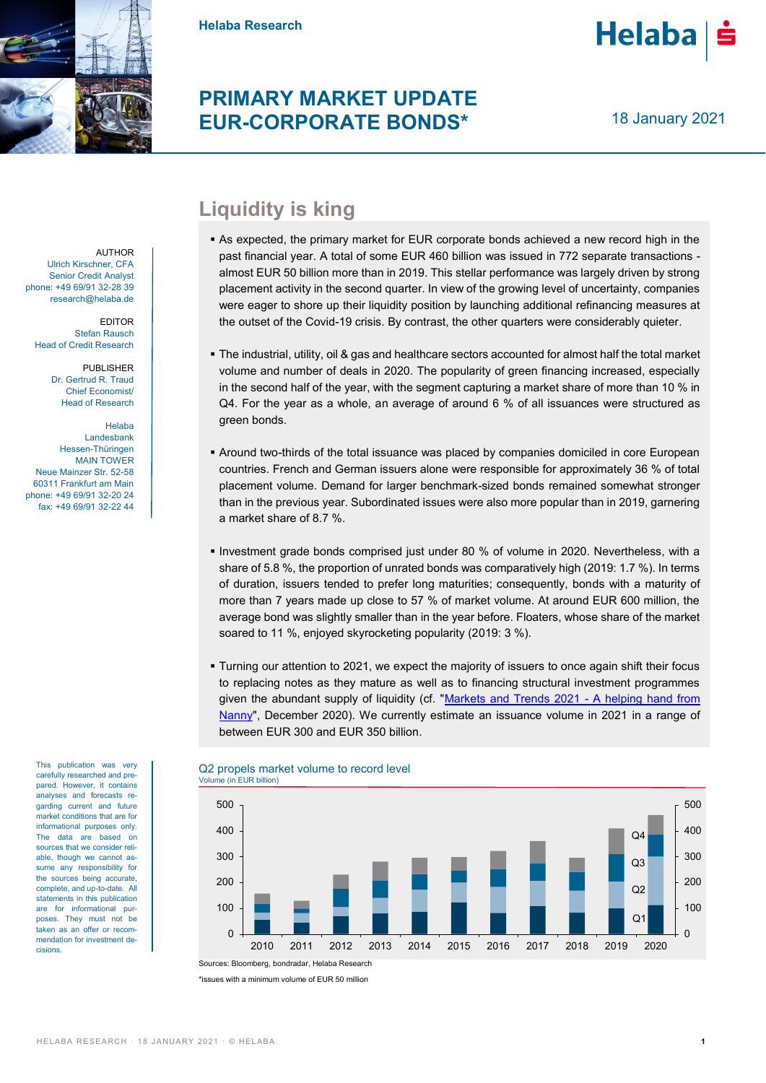

**Helaba Research**

## **PRIMARY MARKET UPDATE EUR-CORPORATE BONDS\***

18 January 2021

**Helaba** 

AUTHOR Ulrich Kirschner, CFA Senior Credit Analyst phone: +49 69/91 32-28 39 research@helaba.de

EDITOR Stefan Rausch Head of Credit Research

> PUBLISHER Dr. Gertrud R. Traud Chief Economist/ Head of Research

Helaba Landesbank Hessen-Thüringen MAIN TOWER Neue Mainzer Str. 52-58 60311 Frankfurt am Main phone: +49 69/91 32-20 24 fax: +49 69/91 32-22 44

This publication was very carefully researched and prepared. However, it contains analyses and forecasts regarding current and future market conditions that are for informational purposes only. The data are based on sources that we consider reliable, though we cannot assume any responsibility for the sources being accurate, complete, and up-to-date. All statements in this publication are for informational purposes. They must not be taken as an offer or recommendation for investment decisions.

## **Liquidity is king**

- As expected, the primary market for EUR corporate bonds achieved a new record high in the past financial year. A total of some EUR 460 billion was issued in 772 separate transactions almost EUR 50 billion more than in 2019. This stellar performance was largely driven by strong placement activity in the second quarter. In view of the growing level of uncertainty, companies were eager to shore up their liquidity position by launching additional refinancing measures at the outset of the Covid-19 crisis. By contrast, the other quarters were considerably quieter.
- The industrial, utility, oil & gas and healthcare sectors accounted for almost half the total market volume and number of deals in 2020. The popularity of green financing increased, especially in the second half of the year, with the segment capturing a market share of more than 10 % in Q4. For the year as a whole, an average of around 6 % of all issuances were structured as green bonds.
- Around two-thirds of the total issuance was placed by companies domiciled in core European countries. French and German issuers alone were responsible for approximately 36 % of total placement volume. Demand for larger benchmark-sized bonds remained somewhat stronger than in the previous year. Subordinated issues were also more popular than in 2019, garnering a market share of 8.7 %.
- **Investment grade bonds comprised just under 80 % of volume in 2020. Nevertheless, with a** share of 5.8 %, the proportion of unrated bonds was comparatively high (2019: 1.7 %). In terms of duration, issuers tended to prefer long maturities; consequently, bonds with a maturity of more than 7 years made up close to 57 % of market volume. At around EUR 600 million, the average bond was slightly smaller than in the year before. Floaters, whose share of the market soared to 11 %, enjoyed skyrocketing popularity (2019: 3 %).
- Turning our attention to 2021, we expect the majority of issuers to once again shift their focus to replacing notes as they mature as well as to financing structural investment programmes given the abundant supply of liquidity (cf. ["Markets and Trends 2021 -](https://www.helaba.com/media/docs/int/informations-for/research/markets-and-trends/capital-market-outlook-2021.pdf) A helping hand from [Nanny"](https://www.helaba.com/media/docs/int/informations-for/research/markets-and-trends/capital-market-outlook-2021.pdf), December 2020). We currently estimate an issuance volume in 2021 in a range of between EUR 300 and EUR 350 billion.



Q2 propels market volume to record level

\*issues with a minimum volume of EUR 50 million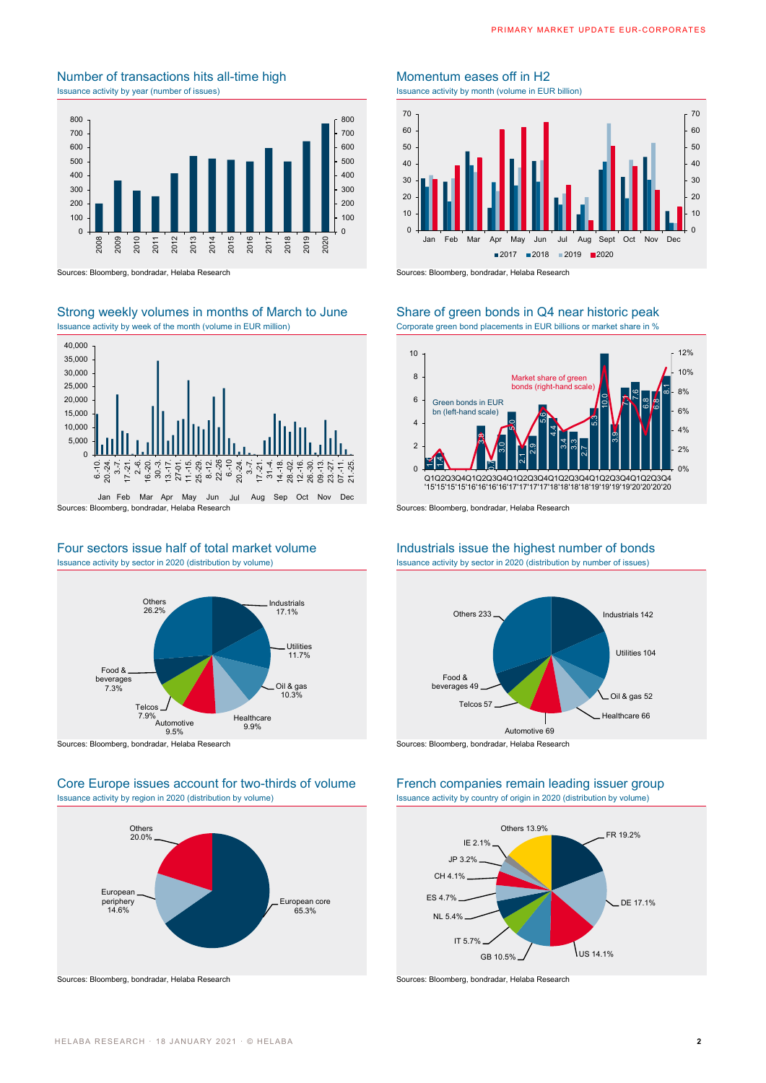## Number of transactions hits all-time high Momentum eases off in H2 Issuance activity by year (number of issues) Issuance activity by month (volume in EUR billion)



Sources: Bloomberg, bondradar, Helaba Research Sources: Bloomberg, bondradar, Helaba Research

# Strong weekly volumes in months of March to June Share of green bonds in Q4 near historic peak



# Four sectors issue half of total market volume Industrials issue the highest number of bonds<br>
Issuance activity by sector in 2020 (distribution by hyperseter in 2020 (distribution by number of issues)



## Core Europe issues account for two-thirds of volume French companies remain leading issuer group Issuance activity by region in 2020 (distribution by volume) Issuance activity by country of origin in 2020 (distribution by volume)





Issuance activity by week of the month (volume in EUR million) Corporate green bond placements in EUR billions or market share in %



Issuance activity by sector in 2020 (distribution by number of issues)